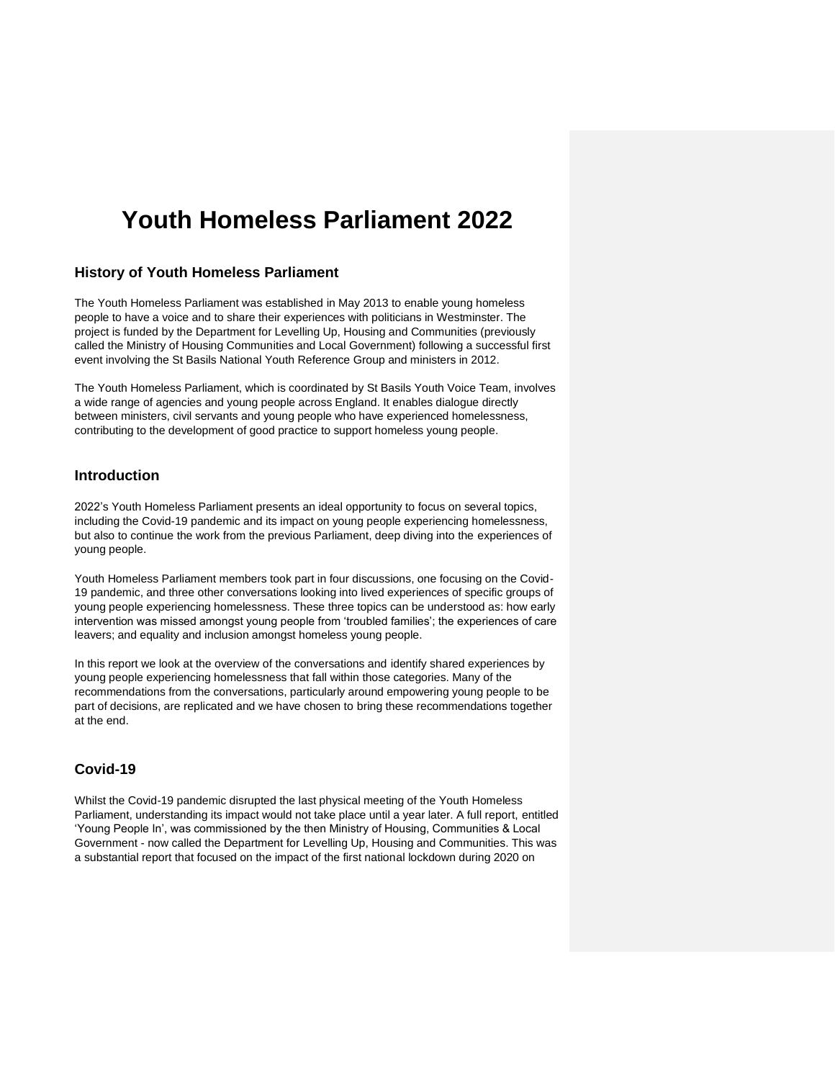# **Youth Homeless Parliament 2022**

## **History of Youth Homeless Parliament**

The Youth Homeless Parliament was established in May 2013 to enable young homeless people to have a voice and to share their experiences with politicians in Westminster. The project is funded by the Department for Levelling Up, Housing and Communities (previously called the Ministry of Housing Communities and Local Government) following a successful first event involving the St Basils National Youth Reference Group and ministers in 2012.

The Youth Homeless Parliament, which is coordinated by St Basils Youth Voice Team, involves a wide range of agencies and young people across England. It enables dialogue directly between ministers, civil servants and young people who have experienced homelessness, contributing to the development of good practice to support homeless young people.

## **Introduction**

2022's Youth Homeless Parliament presents an ideal opportunity to focus on several topics, including the Covid-19 pandemic and its impact on young people experiencing homelessness, but also to continue the work from the previous Parliament, deep diving into the experiences of young people.

Youth Homeless Parliament members took part in four discussions, one focusing on the Covid-19 pandemic, and three other conversations looking into lived experiences of specific groups of young people experiencing homelessness. These three topics can be understood as: how early intervention was missed amongst young people from 'troubled families'; the experiences of care leavers; and equality and inclusion amongst homeless young people.

In this report we look at the overview of the conversations and identify shared experiences by young people experiencing homelessness that fall within those categories. Many of the recommendations from the conversations, particularly around empowering young people to be part of decisions, are replicated and we have chosen to bring these recommendations together at the end.

# **Covid-19**

Whilst the Covid-19 pandemic disrupted the last physical meeting of the Youth Homeless Parliament, understanding its impact would not take place until a year later. A full report, entitled 'Young People In', was commissioned by the then Ministry of Housing, Communities & Local Government - now called the Department for Levelling Up, Housing and Communities. This was a substantial report that focused on the impact of the first national lockdown during 2020 on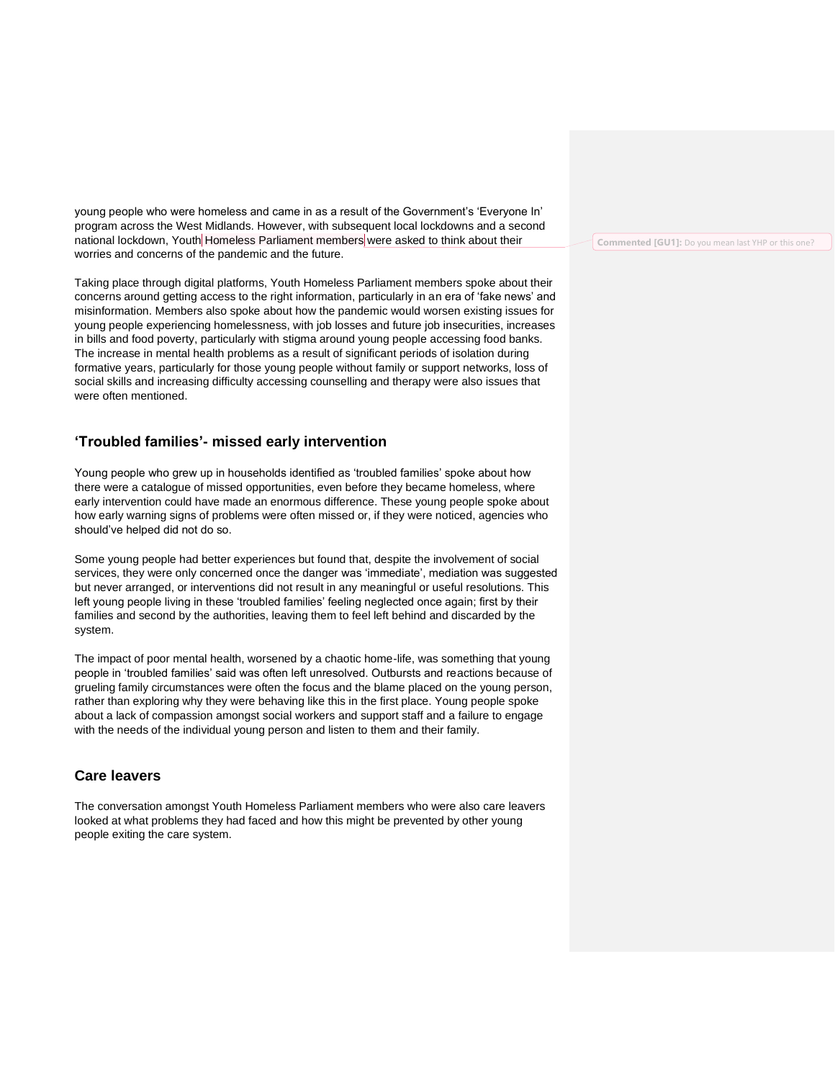young people who were homeless and came in as a result of the Government's 'Everyone In' program across the West Midlands. However, with subsequent local lockdowns and a second national lockdown, Youth Homeless Parliament members were asked to think about their worries and concerns of the pandemic and the future.

Taking place through digital platforms, Youth Homeless Parliament members spoke about their concerns around getting access to the right information, particularly in an era of 'fake news' and misinformation. Members also spoke about how the pandemic would worsen existing issues for young people experiencing homelessness, with job losses and future job insecurities, increases in bills and food poverty, particularly with stigma around young people accessing food banks. The increase in mental health problems as a result of significant periods of isolation during formative years, particularly for those young people without family or support networks, loss of social skills and increasing difficulty accessing counselling and therapy were also issues that were often mentioned.

## **'Troubled families'- missed early intervention**

Young people who grew up in households identified as 'troubled families' spoke about how there were a catalogue of missed opportunities, even before they became homeless, where early intervention could have made an enormous difference. These young people spoke about how early warning signs of problems were often missed or, if they were noticed, agencies who should've helped did not do so.

Some young people had better experiences but found that, despite the involvement of social services, they were only concerned once the danger was 'immediate', mediation was suggested but never arranged, or interventions did not result in any meaningful or useful resolutions. This left young people living in these 'troubled families' feeling neglected once again; first by their families and second by the authorities, leaving them to feel left behind and discarded by the system.

The impact of poor mental health, worsened by a chaotic home-life, was something that young people in 'troubled families' said was often left unresolved. Outbursts and reactions because of grueling family circumstances were often the focus and the blame placed on the young person, rather than exploring why they were behaving like this in the first place. Young people spoke about a lack of compassion amongst social workers and support staff and a failure to engage with the needs of the individual young person and listen to them and their family.

# **Care leavers**

The conversation amongst Youth Homeless Parliament members who were also care leavers looked at what problems they had faced and how this might be prevented by other young people exiting the care system.

**Commented [GU1]:** Do you mean last YHP or this one?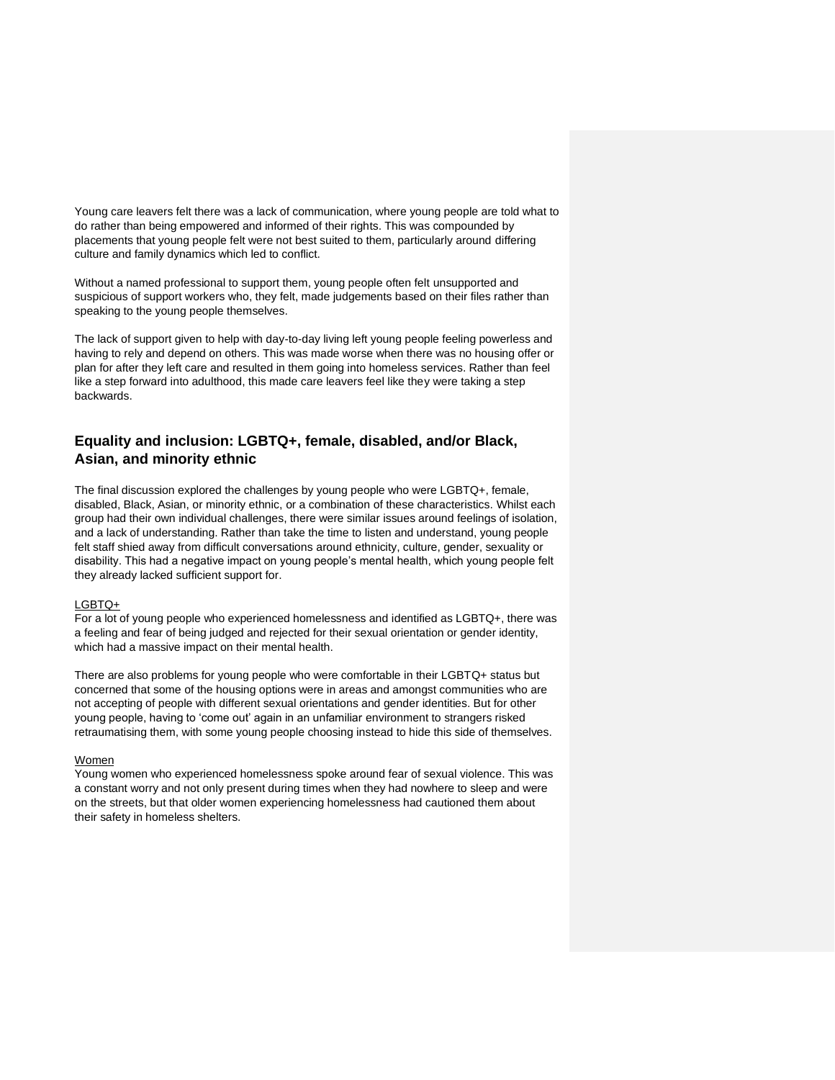Young care leavers felt there was a lack of communication, where young people are told what to do rather than being empowered and informed of their rights. This was compounded by placements that young people felt were not best suited to them, particularly around differing culture and family dynamics which led to conflict.

Without a named professional to support them, young people often felt unsupported and suspicious of support workers who, they felt, made judgements based on their files rather than speaking to the young people themselves.

The lack of support given to help with day-to-day living left young people feeling powerless and having to rely and depend on others. This was made worse when there was no housing offer or plan for after they left care and resulted in them going into homeless services. Rather than feel like a step forward into adulthood, this made care leavers feel like they were taking a step backwards.

# **Equality and inclusion: LGBTQ+, female, disabled, and/or Black, Asian, and minority ethnic**

The final discussion explored the challenges by young people who were LGBTQ+, female, disabled, Black, Asian, or minority ethnic, or a combination of these characteristics. Whilst each group had their own individual challenges, there were similar issues around feelings of isolation, and a lack of understanding. Rather than take the time to listen and understand, young people felt staff shied away from difficult conversations around ethnicity, culture, gender, sexuality or disability. This had a negative impact on young people's mental health, which young people felt they already lacked sufficient support for.

#### LGBTQ+

For a lot of young people who experienced homelessness and identified as LGBTQ+, there was a feeling and fear of being judged and rejected for their sexual orientation or gender identity, which had a massive impact on their mental health.

There are also problems for young people who were comfortable in their LGBTQ+ status but concerned that some of the housing options were in areas and amongst communities who are not accepting of people with different sexual orientations and gender identities. But for other young people, having to 'come out' again in an unfamiliar environment to strangers risked retraumatising them, with some young people choosing instead to hide this side of themselves.

#### Women

Young women who experienced homelessness spoke around fear of sexual violence. This was a constant worry and not only present during times when they had nowhere to sleep and were on the streets, but that older women experiencing homelessness had cautioned them about their safety in homeless shelters.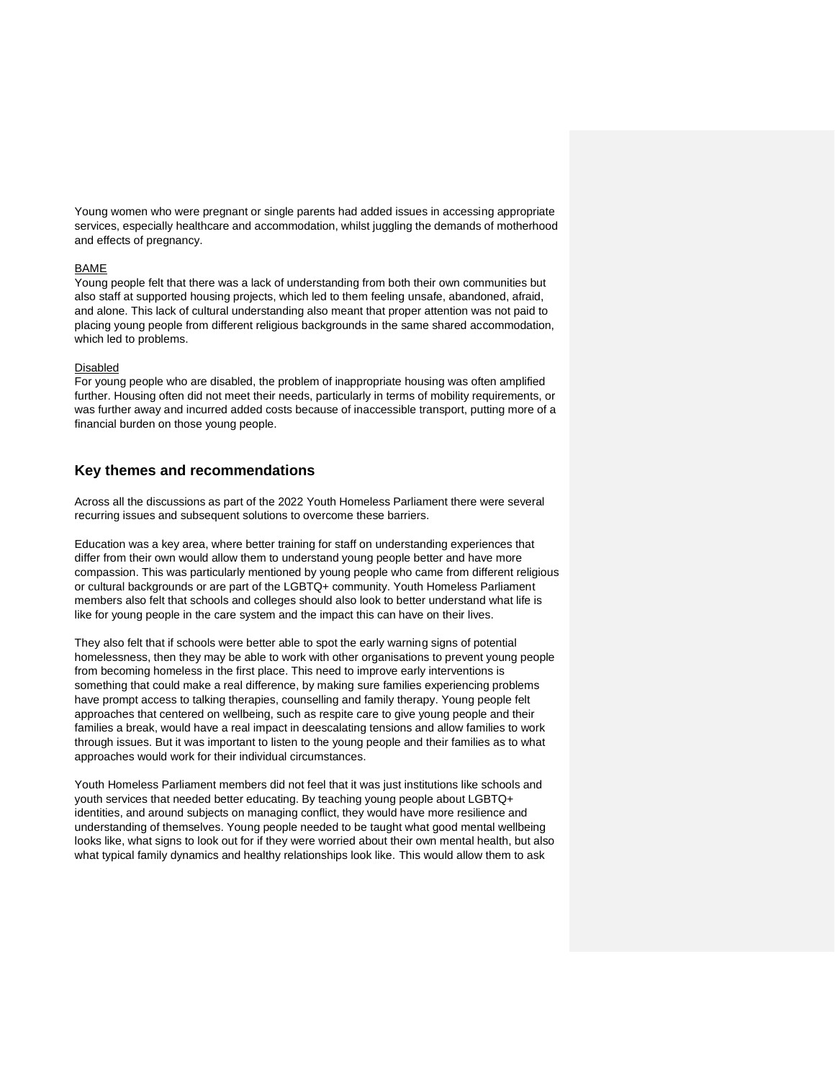Young women who were pregnant or single parents had added issues in accessing appropriate services, especially healthcare and accommodation, whilst juggling the demands of motherhood and effects of pregnancy.

#### BAME

Young people felt that there was a lack of understanding from both their own communities but also staff at supported housing projects, which led to them feeling unsafe, abandoned, afraid, and alone. This lack of cultural understanding also meant that proper attention was not paid to placing young people from different religious backgrounds in the same shared accommodation, which led to problems.

#### Disabled

For young people who are disabled, the problem of inappropriate housing was often amplified further. Housing often did not meet their needs, particularly in terms of mobility requirements, or was further away and incurred added costs because of inaccessible transport, putting more of a financial burden on those young people.

### **Key themes and recommendations**

Across all the discussions as part of the 2022 Youth Homeless Parliament there were several recurring issues and subsequent solutions to overcome these barriers.

Education was a key area, where better training for staff on understanding experiences that differ from their own would allow them to understand young people better and have more compassion. This was particularly mentioned by young people who came from different religious or cultural backgrounds or are part of the LGBTQ+ community. Youth Homeless Parliament members also felt that schools and colleges should also look to better understand what life is like for young people in the care system and the impact this can have on their lives.

They also felt that if schools were better able to spot the early warning signs of potential homelessness, then they may be able to work with other organisations to prevent young people from becoming homeless in the first place. This need to improve early interventions is something that could make a real difference, by making sure families experiencing problems have prompt access to talking therapies, counselling and family therapy. Young people felt approaches that centered on wellbeing, such as respite care to give young people and their families a break, would have a real impact in deescalating tensions and allow families to work through issues. But it was important to listen to the young people and their families as to what approaches would work for their individual circumstances.

Youth Homeless Parliament members did not feel that it was just institutions like schools and youth services that needed better educating. By teaching young people about LGBTQ+ identities, and around subjects on managing conflict, they would have more resilience and understanding of themselves. Young people needed to be taught what good mental wellbeing looks like, what signs to look out for if they were worried about their own mental health, but also what typical family dynamics and healthy relationships look like. This would allow them to ask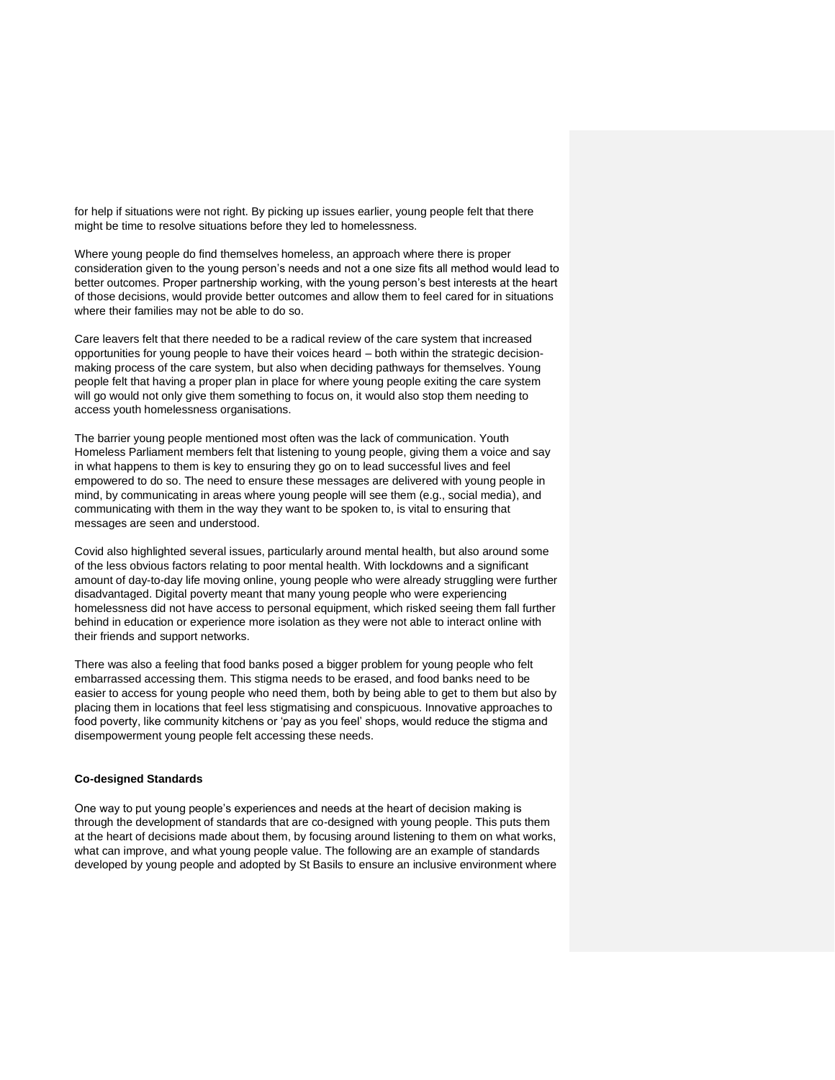for help if situations were not right. By picking up issues earlier, young people felt that there might be time to resolve situations before they led to homelessness.

Where young people do find themselves homeless, an approach where there is proper consideration given to the young person's needs and not a one size fits all method would lead to better outcomes. Proper partnership working, with the young person's best interests at the heart of those decisions, would provide better outcomes and allow them to feel cared for in situations where their families may not be able to do so.

Care leavers felt that there needed to be a radical review of the care system that increased opportunities for young people to have their voices heard – both within the strategic decisionmaking process of the care system, but also when deciding pathways for themselves. Young people felt that having a proper plan in place for where young people exiting the care system will go would not only give them something to focus on, it would also stop them needing to access youth homelessness organisations.

The barrier young people mentioned most often was the lack of communication. Youth Homeless Parliament members felt that listening to young people, giving them a voice and say in what happens to them is key to ensuring they go on to lead successful lives and feel empowered to do so. The need to ensure these messages are delivered with young people in mind, by communicating in areas where young people will see them (e.g., social media), and communicating with them in the way they want to be spoken to, is vital to ensuring that messages are seen and understood.

Covid also highlighted several issues, particularly around mental health, but also around some of the less obvious factors relating to poor mental health. With lockdowns and a significant amount of day-to-day life moving online, young people who were already struggling were further disadvantaged. Digital poverty meant that many young people who were experiencing homelessness did not have access to personal equipment, which risked seeing them fall further behind in education or experience more isolation as they were not able to interact online with their friends and support networks.

There was also a feeling that food banks posed a bigger problem for young people who felt embarrassed accessing them. This stigma needs to be erased, and food banks need to be easier to access for young people who need them, both by being able to get to them but also by placing them in locations that feel less stigmatising and conspicuous. Innovative approaches to food poverty, like community kitchens or 'pay as you feel' shops, would reduce the stigma and disempowerment young people felt accessing these needs.

#### **Co-designed Standards**

One way to put young people's experiences and needs at the heart of decision making is through the development of standards that are co-designed with young people. This puts them at the heart of decisions made about them, by focusing around listening to them on what works, what can improve, and what young people value. The following are an example of standards developed by young people and adopted by St Basils to ensure an inclusive environment where